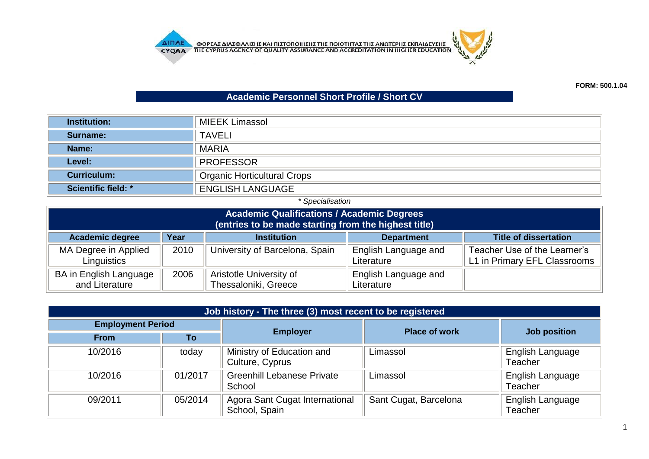**AITIAE OPEAE AIAE DATE KAI TILETOTOIHE E THE TOIOTHTAE THE ANOTEPHE EKTIAIAEYEHE CYQA A** THE CYPRUS AGENCY OF QUALITY ASSURANCE AND ACCREDITATION IN HIGHER EDUCATION



## **Academic Personnel Short Profile / Short CV**

| <b>Institution:</b> | MIEEK Limassol                     |
|---------------------|------------------------------------|
| Surname:            | <b>TAVELI</b>                      |
| Name:               | <b>MARIA</b>                       |
| Level:              | <b>PROFESSOR</b>                   |
| <b>Curriculum:</b>  | <b>Organic Horticultural Crops</b> |
| Scientific field: * | <b>ENGLISH LANGUAGE</b>            |

## *\* Specialisation*

| <b>Academic Qualifications / Academic Degrees</b><br>(entries to be made starting from the highest title)                                 |                                                                                 |                                |                                           |                                                              |  |  |  |
|-------------------------------------------------------------------------------------------------------------------------------------------|---------------------------------------------------------------------------------|--------------------------------|-------------------------------------------|--------------------------------------------------------------|--|--|--|
| <b>Academic degree</b>                                                                                                                    | Year<br><b>Institution</b><br><b>Title of dissertation</b><br><b>Department</b> |                                |                                           |                                                              |  |  |  |
| MA Degree in Applied<br>Linguistics                                                                                                       | 2010                                                                            | University of Barcelona, Spain | <b>English Language and</b><br>Literature | Teacher Use of the Learner's<br>L1 in Primary EFL Classrooms |  |  |  |
| BA in English Language<br>Aristotle University of<br>English Language and<br>2006<br>Thessaloniki, Greece<br>and Literature<br>Literature |                                                                                 |                                |                                           |                                                              |  |  |  |

| Job history - The three (3) most recent to be registered |         |                                                 |                       |                             |  |
|----------------------------------------------------------|---------|-------------------------------------------------|-----------------------|-----------------------------|--|
| <b>Employment Period</b>                                 |         |                                                 | <b>Place of work</b>  |                             |  |
| <b>From</b>                                              | Τo      | <b>Employer</b>                                 |                       | Job position                |  |
| 10/2016                                                  | today   | Ministry of Education and<br>Culture, Cyprus    | Limassol              | English Language<br>Teacher |  |
| 10/2016                                                  | 01/2017 | <b>Greenhill Lebanese Private</b><br>School     | Limassol              | English Language<br>Teacher |  |
| 09/2011                                                  | 05/2014 | Agora Sant Cugat International<br>School, Spain | Sant Cugat, Barcelona | English Language<br>Teacher |  |